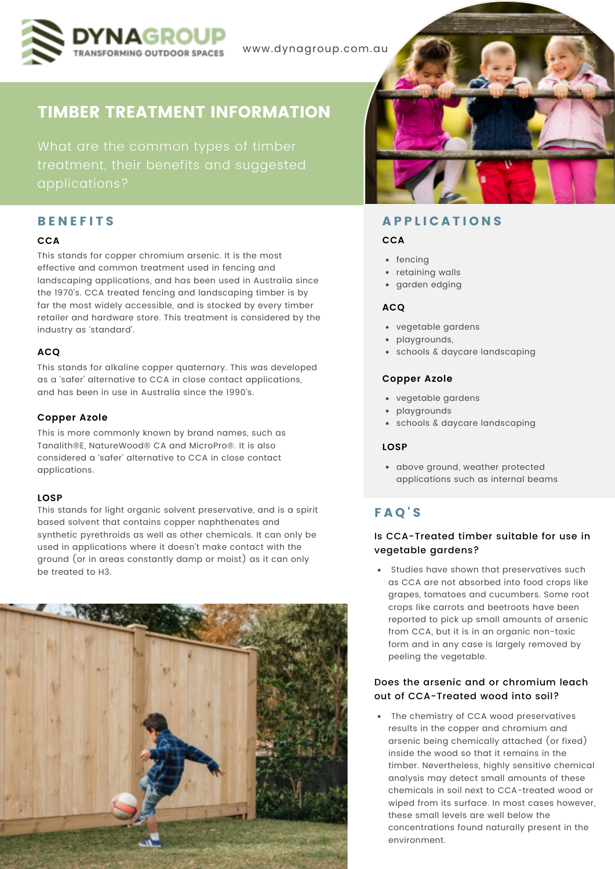

www.dynagroup.com.au

# TIMBER TREATMENT INFORMATION

treatment, their benefits and suggested

# **BENEFITS**

#### **CCA**

This stands for copper chromium arsenic. It is the most effective and common treatment used in fencing and landscaping applications, and has been used in Australia since the 1970's. CCA treated fencing and landscaping timber is by far the most widely accessible, and is stocked by every timber retailer and hardware store. This treatment is considered by the industry as 'standard'.

## **ACQ**

This stands for alkaline copper quaternary. This was developed as a 'safer' alternative to CCA in close contact applications, and has been in use in Australia since the 1990's.

#### **Copper Azole**

This is more commonly known by brand names, such as Tanalith®E, NatureWood® CA and MicroPro®. It is also considered a 'safer' alternative to CCA in close contact applications.

#### **LOSP**

This stands for light organic solvent preservative, and is a spirit based solvent that contains copper naphthenates and synthetic pyrethroids as well as other chemicals. It can only be used in applications where it doesn't make contact with the ground (or in areas constantly damp or moist) as it can only be treated to H3.





# **APPLICATIONS**

#### **CCA**

- fencing
- retaining walls
- garden edging

## **ACQ**

- vegetable gardens
- playgrounds,
- schools & daycare landscaping

#### **Copper Azole**

- vegetable gardens
- playgrounds
- schools & daycare landscaping

#### **LOSP**

above ground, weather protected applications such as internal beams

# F A Q ' S

# Is CCA-Treated timber suitable for use in vegetable gardens?

• Studies have shown that preservatives such as CCA are not absorbed into food crops like grapes, tomatoes and cucumbers. Some root crops like carrots and beetroots have been reported to pick up small amounts of arsenic from CCA, but it is in an organic non-toxic form and in any case is largely removed by peeling the vegetable.

## Does the arsenic and or chromium leach out of CCA-Treated wood into soil?

 The chemistry of CCA wood preservatives results in the copper and chromium and arsenic being chemically attached (or fixed) inside the wood so that it remains in the timber. Nevertheless, highly sensitive chemical analysis may detect small amounts of these chemicals in soil next to CCA-treated wood or wiped from its surface. In most cases however, these small levels are well below the concentrations found naturally present in the environment.